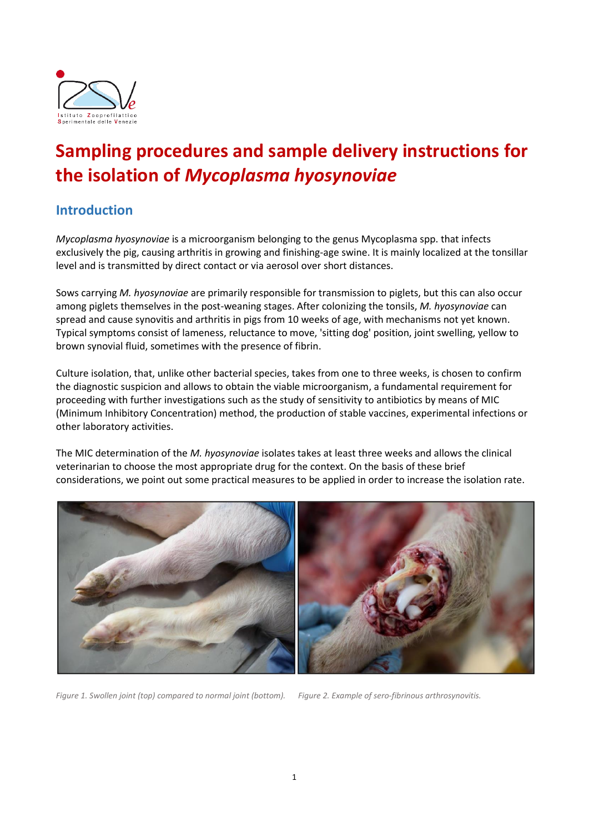

# **Sampling procedures and sample delivery instructions for the isolation of** *Mycoplasma hyosynoviae*

### **Introduction**

*Mycoplasma hyosynoviae* is a microorganism belonging to the genus Mycoplasma spp. that infects exclusively the pig, causing arthritis in growing and finishing-age swine. It is mainly localized at the tonsillar level and is transmitted by direct contact or via aerosol over short distances.

Sows carrying *M. hyosynoviae* are primarily responsible for transmission to piglets, but this can also occur among piglets themselves in the post-weaning stages. After colonizing the tonsils, *M. hyosynoviae* can spread and cause synovitis and arthritis in pigs from 10 weeks of age, with mechanisms not yet known. Typical symptoms consist of lameness, reluctance to move, 'sitting dog' position, joint swelling, yellow to brown synovial fluid, sometimes with the presence of fibrin.

Culture isolation, that, unlike other bacterial species, takes from one to three weeks, is chosen to confirm the diagnostic suspicion and allows to obtain the viable microorganism, a fundamental requirement for proceeding with further investigations such as the study of sensitivity to antibiotics by means of MIC (Minimum Inhibitory Concentration) method, the production of stable vaccines, experimental infections or other laboratory activities.

The MIC determination of the *M. hyosynoviae* isolates takes at least three weeks and allows the clinical veterinarian to choose the most appropriate drug for the context. On the basis of these brief considerations, we point out some practical measures to be applied in order to increase the isolation rate.



*Figure 1. Swollen joint (top) compared to normal joint (bottom). Figure 2. Example of sero-fibrinous arthrosynovitis.*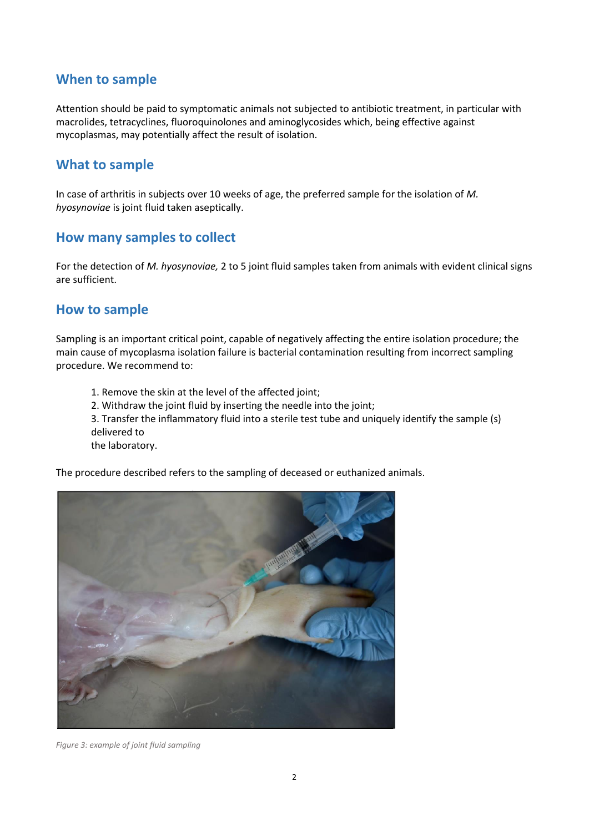#### **When to sample**

Attention should be paid to symptomatic animals not subjected to antibiotic treatment, in particular with macrolides, tetracyclines, fluoroquinolones and aminoglycosides which, being effective against mycoplasmas, may potentially affect the result of isolation.

#### **What to sample**

In case of arthritis in subjects over 10 weeks of age, the preferred sample for the isolation of *M. hyosynoviae* is joint fluid taken aseptically.

#### **How many samples to collect**

For the detection of *M. hyosynoviae,* 2 to 5 joint fluid samples taken from animals with evident clinical signs are sufficient.

#### **How to sample**

Sampling is an important critical point, capable of negatively affecting the entire isolation procedure; the main cause of mycoplasma isolation failure is bacterial contamination resulting from incorrect sampling procedure. We recommend to:

1. Remove the skin at the level of the affected joint; 2. Withdraw the joint fluid by inserting the needle into the joint; 3. Transfer the inflammatory fluid into a sterile test tube and uniquely identify the sample (s) delivered to the laboratory.

The procedure described refers to the sampling of deceased or euthanized animals.



*Figure 3: example of joint fluid sampling*